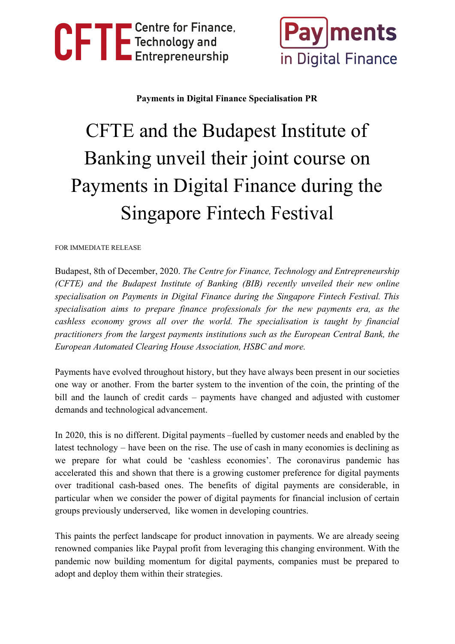



**Payments in Digital Finance Specialisation PR**

# CFTE and the Budapest Institute of Banking unveil their joint course on Payments in Digital Finance during the Singapore Fintech Festival

FOR IMMEDIATE RELEASE

Budapest, 8th of December, 2020. *The Centre for Finance, Technology and Entrepreneurship (CFTE) and the Budapest Institute of Banking (BIB) recently unveiled their new online specialisation on Payments in Digital Finance during the Singapore Fintech Festival. This specialisation aims to prepare finance professionals for the new payments era, as the cashless economy grows all over the world. The specialisation is taught by financial practitioners from the largest payments institutions such as the European Central Bank, the European Automated Clearing House Association, HSBC and more.*

Payments have evolved throughout history, but they have always been present in our societies one way or another. From the barter system to the invention of the coin, the printing of the bill and the launch of credit cards – payments have changed and adjusted with customer demands and technological advancement.

In 2020, this is no different. Digital payments –fuelled by customer needs and enabled by the latest technology – have been on the rise. The use of cash in many economies is declining as we prepare for what could be 'cashless economies'. The coronavirus pandemic has accelerated this and shown that there is a growing customer preference for digital payments over traditional cash-based ones. The benefits of digital payments are considerable, in particular when we consider the power of digital payments for financial inclusion of certain groups previously underserved, like women in developing countries.

This paints the perfect landscape for product innovation in payments. We are already seeing renowned companies like Paypal profit from leveraging this changing environment. With the pandemic now building momentum for digital payments, companies must be prepared to adopt and deploy them within their strategies.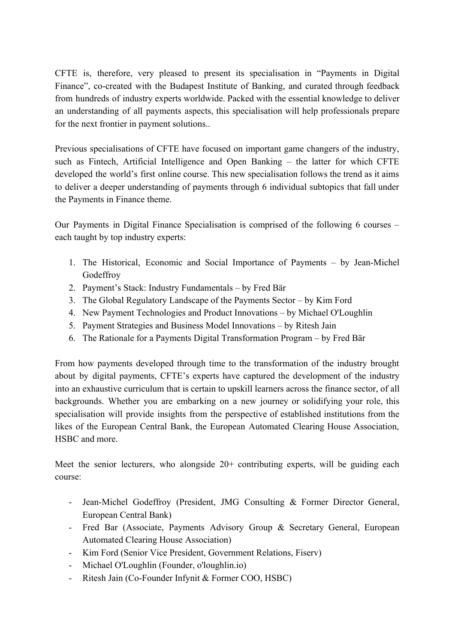CFTE is, therefore, very pleased to present its specialisation in "Payments in Digital Finance", co-created with the Budapest Institute of Banking, and curated through feedback from hundreds of industry experts worldwide. Packed with the essential knowledge to deliver an understanding of all payments aspects, this specialisation will help professionals prepare for the next frontier in payment solutions..

Previous specialisations of CFTE have focused on important game changers of the industry, such as Fintech, Artificial Intelligence and Open Banking – the latter for which CFTE developed the world's first online course. This new specialisation follows the trend as it aims to deliver a deeper understanding of payments through 6 individual subtopics that fall under the Payments in Finance theme.

Our Payments in Digital Finance Specialisation is comprised of the following 6 courses – each taught by top industry experts:

- 1. The Historical, Economic and Social Importance of Payments by Jean-Michel Godeffroy
- 2. Payment's Stack: Industry Fundamentals by Fred Bär
- 3. The Global Regulatory Landscape of the Payments Sector by Kim Ford
- 4. New Payment Technologies and Product Innovations by Michael O'Loughlin
- 5. Payment Strategies and Business Model Innovations by Ritesh Jain
- 6. The Rationale for a Payments Digital Transformation Program by Fred Bär

From how payments developed through time to the transformation of the industry brought about by digital payments, CFTE's experts have captured the development of the industry into an exhaustive curriculum that is certain to upskill learners across the finance sector, of all backgrounds. Whether you are embarking on a new journey or solidifying your role, this specialisation will provide insights from the perspective of established institutions from the likes of the European Central Bank, the European Automated Clearing House Association, HSBC and more.

Meet the senior lecturers, who alongside 20+ contributing experts, will be guiding each course:

- Jean-Michel Godeffroy (President, JMG Consulting & Former Director General, European Central Bank)
- Fred Bar (Associate, Payments Advisory Group & Secretary General, European [Automated Clearing House Association\)](https://www.eacha.org/)
- Kim Ford (Senior Vice President, Government Relations, Fiserv)
- Michael O'Loughlin (Founder, o'loughlin.io)
- Ritesh Jain (Co-Founder Infynit & Former COO, HSBC)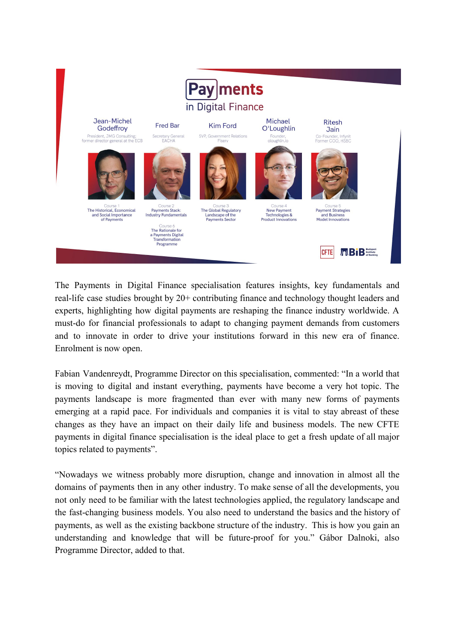

The Payments in Digital Finance specialisation features insights, key fundamentals and real-life case studies brought by 20+ contributing finance and technology thought leaders and experts, highlighting how digital payments are reshaping the finance industry worldwide. A must-do for financial professionals to adapt to changing payment demands from customers and to innovate in order to drive your institutions forward in this new era of finance. Enrolment is now open.

Fabian Vandenreydt, Programme Director on this specialisation, commented: "In a world that is moving to digital and instant everything, payments have become a very hot topic. The payments landscape is more fragmented than ever with many new forms of payments emerging at a rapid pace. For individuals and companies it is vital to stay abreast of these changes as they have an impact on their daily life and business models. The new CFTE payments in digital finance specialisation is the ideal place to get a fresh update of all major topics related to payments".

"Nowadays we witness probably more disruption, change and innovation in almost all the domains of payments then in any other industry. To make sense of all the developments, you not only need to be familiar with the latest technologies applied, the regulatory landscape and the fast-changing business models. You also need to understand the basics and the history of payments, as well as the existing backbone structure of the industry. This is how you gain an understanding and knowledge that will be future-proof for you." Gábor Dalnoki, also Programme Director, added to that.